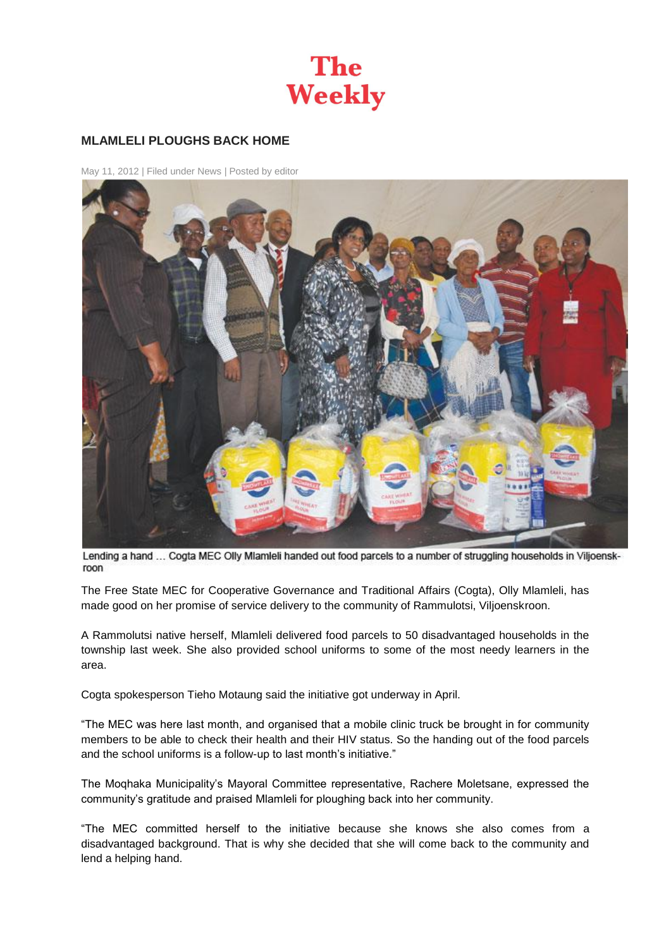

## **MLAMLELI PLOUGHS BACK HOME**

May 11, 2012 | Filed under [News](http://theweekly.co.za/?cat=3) | Posted b[y editor](http://theweekly.co.za/?author=1)



Lending a hand ... Cogta MEC Olly Mlamleli handed out food parcels to a number of struggling households in Viljoenskroon

The Free State MEC for Cooperative Governance and Traditional Affairs (Cogta), Olly Mlamleli, has made good on her promise of service delivery to the community of Rammulotsi, Viljoenskroon.

A Rammolutsi native herself, Mlamleli delivered food parcels to 50 disadvantaged households in the township last week. She also provided school uniforms to some of the most needy learners in the area.

Cogta spokesperson Tieho Motaung said the initiative got underway in April.

"The MEC was here last month, and organised that a mobile clinic truck be brought in for community members to be able to check their health and their HIV status. So the handing out of the food parcels and the school uniforms is a follow-up to last month's initiative."

The Moqhaka Municipality's Mayoral Committee representative, Rachere Moletsane, expressed the community's gratitude and praised Mlamleli for ploughing back into her community.

"The MEC committed herself to the initiative because she knows she also comes from a disadvantaged background. That is why she decided that she will come back to the community and lend a helping hand.